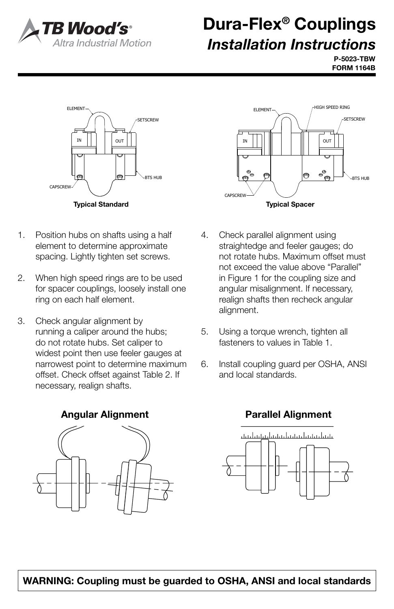

## Dura-Flex® Couplings *Installation Instructions*

P-5023-TBW FORM 1164B



- 1. Position hubs on shafts using a half element to determine approximate spacing. Lightly tighten set screws.
	- 2. When high speed rings are to be used for spacer couplings, loosely install one ring on each half element.
	- 3. Check angular alignment by running a caliper around the hubs; do not rotate hubs. Set caliper to widest point then use feeler gauges at narrowest point to determine maximum offset. Check offset against Table 2. If necessary, realign shafts.

Angular Alignment Parallel Alignment





- 4. Check parallel alignment using straightedge and feeler gauges; do not rotate hubs. Maximum offset must not exceed the value above "Parallel" in Figure 1 for the coupling size and angular misalignment. If necessary, realign shafts then recheck angular alignment.
	- 5. Using a torque wrench, tighten all fasteners to values in Table 1.
	- 6. Install coupling guard per OSHA, ANSI and local standards.